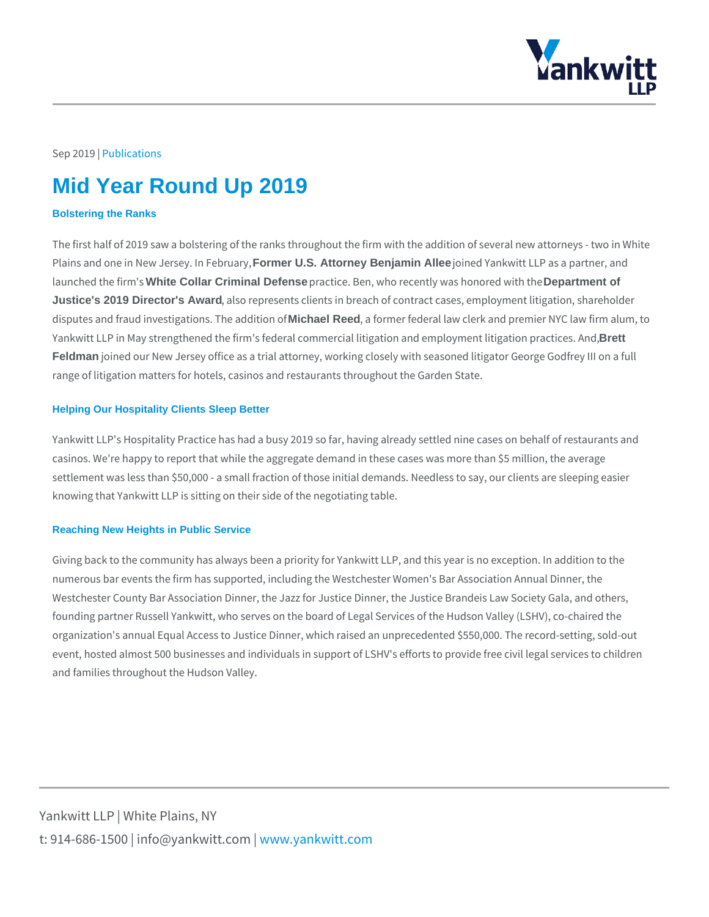## Sep 20 Plu9 blications

# Mid Year Round Up 2019

### Bolstering the Ranks

The first half of 2019 saw a bolstering of the ranks throughout the firm with the Plains and one in New JeFore meet U.Sth Attornehy Benjamin Allee joined Yankwitt LLP as a partner, launched th\& hite Conllar Criminal Defense practice. Ben, who recently Deepartmheent oof red with the Justice's 2019 Director's Award , also represents clients in breach of contract cases, emplo disputes and fraud investigativion have Reed the and tho theories of federal law clerk and premier NY Yankwitt LLP in May strengthened the firm's federal commercial liti**grett**ion and em Feldman joined our New Jersey office as a trial attorney, working closely with seas range of litigation matters for hotels, casinos and restaurants throughout the Ga

#### Helping Our Hospitality Clients Sleep Better

Yankwitt LLP's Hospitality Practice has had a busy 2019 so far, having already s casinos. We're happy to report that while the aggregate demand in these cases w settlement was less than \$50,000 - a small fraction of those initial demands. Nee knowing that Yankwitt LLP is sitting on their side of the negotiating table.

### Reaching New Heights in Public Service

Giving back to the community has always been a priority for Yankwitt LLP, and th numerous bar events the firm has supported, including the Westchester Women's Westchester County Bar Association Dinner, the Jazz for Justice Dinner, the Jus founding partner Russell Yankwitt, who serves on the board of Legal Services of organization's annual Equal Access to Justice Dinner, which raised an unprecedented to recordevent, hosted almost 500 businesses and individuals in support of LSHV's efforts and families throughout the Hudson Valley.

Yankwitt LLP | White Plains, NY t:  $914 - 686 - 1500$  | info@y wawn ky wom intit wo interport on